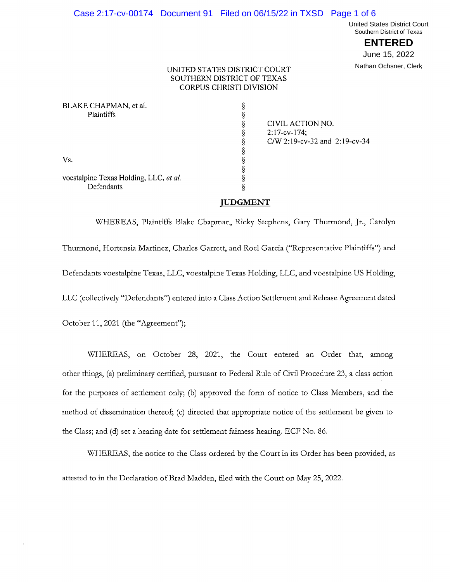#### Case 2:17-cv-00174 Document 91 Filed on 06/15/22 in TXSD Page 1 of 6

**United States District Court** Southern District of Texas

> **ENTERED** June 15, 2022

Nathan Ochsner, Clerk

### UNITED STATES DISTRICT COURT SOUTHERN DISTRICT OF TEXAS **CORPUS CHRISTI DIVISION**

| BLAKE CHAPMAN, et al.                  |                               |
|----------------------------------------|-------------------------------|
| Plaintiffs                             |                               |
|                                        | CIVIL ACTION NO.              |
|                                        | $2:17$ -cv-174;               |
|                                        | C/W 2:19-cv-32 and 2:19-cv-34 |
|                                        |                               |
| Vs.                                    |                               |
|                                        |                               |
| voestalpine Texas Holding, LLC, et al. |                               |
| Defendants                             |                               |

# **JUDGMENT**

WHEREAS, Plaintiffs Blake Chapman, Ricky Stephens, Gary Thurmond, Jr., Carolyn Thurmond, Hortensia Martinez, Charles Garrett, and Roel Garcia ("Representative Plaintiffs") and Defendants voestalpine Texas, LLC, voestalpine Texas Holding, LLC, and voestalpine US Holding, LLC (collectively "Defendants") entered into a Class Action Settlement and Release Agreement dated October 11, 2021 (the "Agreement");

WHEREAS, on October 28, 2021, the Court entered an Order that, among other things, (a) preliminary certified, pursuant to Federal Rule of Civil Procedure 23, a class action for the purposes of settlement only; (b) approved the form of notice to Class Members, and the method of dissemination thereof; (c) directed that appropriate notice of the settlement be given to the Class; and (d) set a hearing date for settlement fairness hearing. ECF No. 86.

WHEREAS, the notice to the Class ordered by the Court in its Order has been provided, as attested to in the Declaration of Brad Madden, filed with the Court on May 25, 2022.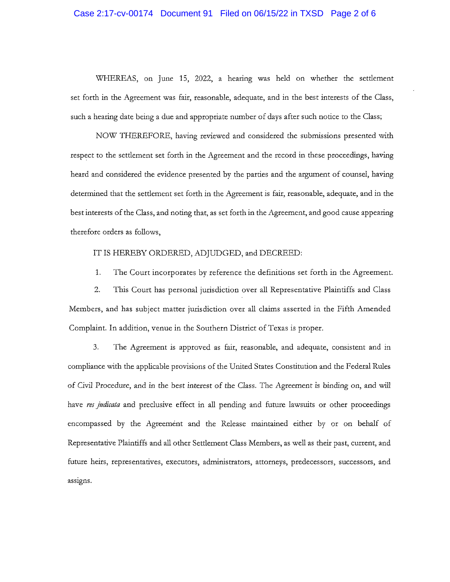## Case 2:17-cv-00174 Document 91 Filed on 06/15/22 in TXSD Page 2 of 6

WHEREAS, on June 15, 2022, a hearing was held on whether the settlement set forth in the Agreement was fair, reasonable, adequate, and in the best interests of the Class, such a hearing date being a due and appropriate number of days after such notice to the Class;

NOW THEREFORE, having reviewed and considered the submissions presented with respect to the settlement set forth in the Agreement and the record in these proceedings, having heard and considered the evidence presented by the parties and the argument of counsel, having determined that the settlement set forth in the Agreement is fair, reasonable, adequate, and in the best interests of the Class, and noting that, as set forth in the Agreement, and good cause appearing therefore orders as follows,

#### IT IS HEREBY ORDERED, ADJUDGED, and DECREED:

1. The Court incorporates by reference the definitions set forth in the Agreement.

 $2.$ This Court has personal jurisdiction over all Representative Plaintiffs and Class Members, and has subject matter jurisdiction over all claims asserted in the Fifth Amended Complaint. In addition, venue in the Southern District of Texas is proper.

3. The Agreement is approved as fair, reasonable, and adequate, consistent and in compliance with the applicable provisions of the United States Constitution and the Federal Rules of Civil Procedure, and in the best interest of the Class. The Agreement is binding on, and will have res judicata and preclusive effect in all pending and future lawsuits or other proceedings encompassed by the Agreement and the Release maintained either by or on behalf of Representative Plaintiffs and all other Settlement Class Members, as well as their past, current, and future heirs, representatives, executors, administrators, attorneys, predecessors, successors, and assigns.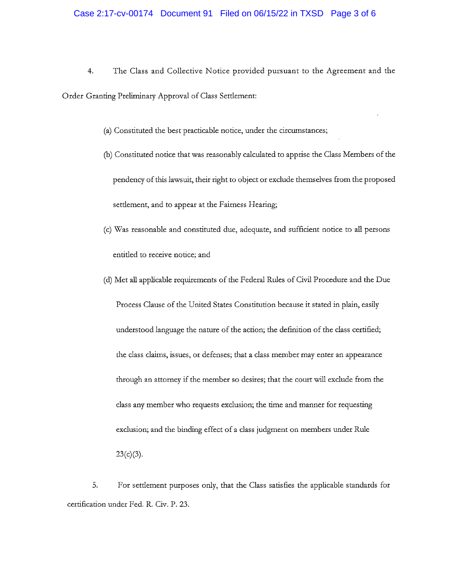- 4. The Class and Collective Notice provided pursuant to the Agreement and the Order Granting Preliminary Approval of Class Settlement:
	- (a) Constituted the best practicable notice, under the circumstances;
	- (b) Constituted notice that was reasonably calculated to apprise the Class Members of the pendency of this lawsuit, their right to object or exclude themselves from the proposed settlement, and to appear at the Fairness Hearing;
	- (c) Was reasonable and constituted due, adequate, and sufficient notice to all persons entitled to receive notice; and
	- (d) Met all applicable requirements of the Federal Rules of Civil Procedure and the Due Process Clause of the United States Constitution because it stated in plain, easily understood language the nature of the action; the definition of the class certified; the class claims, issues, or defenses; that a class member may enter an appearance through an attorney if the member so desires; that the court will exclude from the class any member who requests exclusion; the time and manner for requesting exclusion; and the binding effect of a class judgment on members under Rule  $23(c)(3)$ .

5. For settlement purposes only, that the Class satisfies the applicable standards for certification under Fed. R. Civ. P. 23.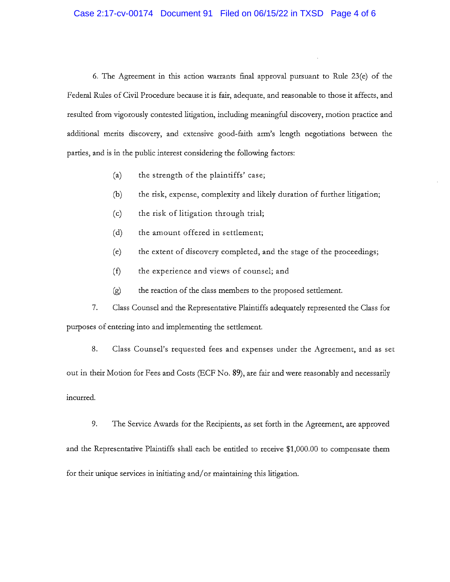# Case 2:17-cv-00174 Document 91 Filed on 06/15/22 in TXSD Page 4 of 6

6. The Agreement in this action warrants final approval pursuant to Rule  $23(e)$  of the Federal Rules of Civil Procedure because it is fair, adequate, and reasonable to those it affects, and resulted from vigorously contested litigation, including meaningful discovery, motion practice and additional merits discovery, and extensive good-faith arm's length negotiations between the parties, and is in the public interest considering the following factors:

- $(a)$ the strength of the plaintiffs' case;
- $(b)$ the risk, expense, complexity and likely duration of further litigation;
- $(c)$ the risk of litigation through trial;
- $(d)$ the amount offered in settlement;
- $(e)$ the extent of discovery completed, and the stage of the proceedings;
- $(f)$ the experience and views of counsel; and
- $(g)$ the reaction of the class members to the proposed settlement.

7. Class Counsel and the Representative Plaintiffs adequately represented the Class for purposes of entering into and implementing the settlement.

8. Class Counsel's requested fees and expenses under the Agreement, and as set out in their Motion for Fees and Costs (ECF No. 89), are fair and were reasonably and necessarily incurred.

9. The Service Awards for the Recipients, as set forth in the Agreement, are approved and the Representative Plaintiffs shall each be entitled to receive \$1,000.00 to compensate them for their unique services in initiating and/or maintaining this litigation.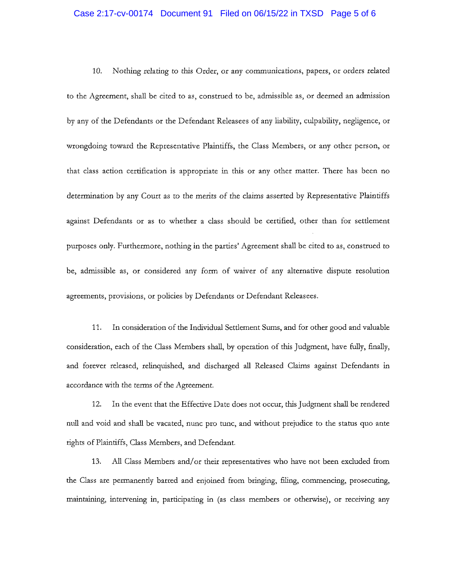#### Case 2:17-cv-00174 Document 91 Filed on 06/15/22 in TXSD Page 5 of 6

10. Nothing relating to this Order, or any communications, papers, or orders related to the Agreement, shall be cited to as, construed to be, admissible as, or deemed an admission by any of the Defendants or the Defendant Releasees of any liability, culpability, negligence, or wrongdoing toward the Representative Plaintiffs, the Class Members, or any other person, or that class action certification is appropriate in this or any other matter. There has been no determination by any Court as to the merits of the claims asserted by Representative Plaintiffs against Defendants or as to whether a class should be certified, other than for settlement purposes only. Furthermore, nothing in the parties' Agreement shall be cited to as, construed to be, admissible as, or considered any form of waiver of any alternative dispute resolution agreements, provisions, or policies by Defendants or Defendant Releasees.

11. In consideration of the Individual Settlement Sums, and for other good and valuable consideration, each of the Class Members shall, by operation of this Judgment, have fully, finally, and forever released, relinquished, and discharged all Released Claims against Defendants in accordance with the terms of the Agreement.

12. In the event that the Effective Date does not occur, this Judgment shall be rendered null and void and shall be vacated, nunc pro tunc, and without prejudice to the status quo ante rights of Plaintiffs, Class Members, and Defendant.

All Class Members and/or their representatives who have not been excluded from 13. the Class are permanently barred and enjoined from bringing, filing, commencing, prosecuting, maintaining, intervening in, participating in (as class members or otherwise), or receiving any